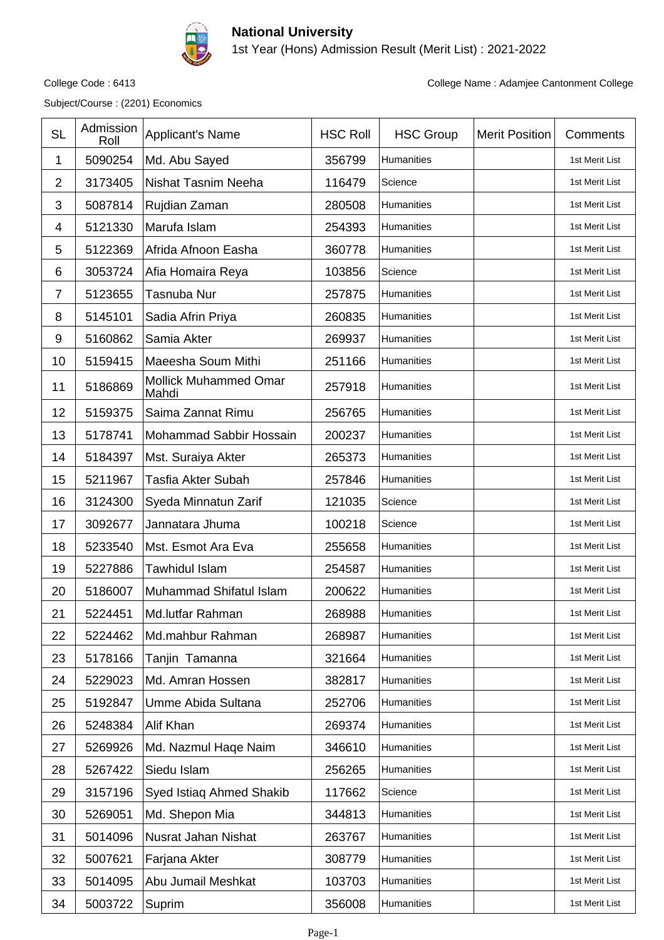

## **National University**

1st Year (Hons) Admission Result (Merit List) : 2021-2022

Subject/Course : (2201) Economics

College Code : 6413 College Name : Adamjee Cantonment College

| <b>SL</b>      | Admission<br>Roll | <b>Applicant's Name</b>               | <b>HSC Roll</b> | <b>HSC Group</b>  | <b>Merit Position</b> | Comments       |
|----------------|-------------------|---------------------------------------|-----------------|-------------------|-----------------------|----------------|
| 1              | 5090254           | Md. Abu Sayed                         | 356799          | Humanities        |                       | 1st Merit List |
| $\overline{2}$ | 3173405           | Nishat Tasnim Neeha                   | 116479          | Science           |                       | 1st Merit List |
| 3              | 5087814           | Rujdian Zaman                         | 280508          | Humanities        |                       | 1st Merit List |
| 4              | 5121330           | Marufa Islam                          | 254393          | Humanities        |                       | 1st Merit List |
| 5              | 5122369           | Afrida Afnoon Easha                   | 360778          | Humanities        |                       | 1st Merit List |
| 6              | 3053724           | Afia Homaira Reya                     | 103856          | Science           |                       | 1st Merit List |
| 7              | 5123655           | Tasnuba Nur                           | 257875          | Humanities        |                       | 1st Merit List |
| 8              | 5145101           | Sadia Afrin Priya                     | 260835          | Humanities        |                       | 1st Merit List |
| 9              | 5160862           | Samia Akter                           | 269937          | Humanities        |                       | 1st Merit List |
| 10             | 5159415           | Maeesha Soum Mithi                    | 251166          | Humanities        |                       | 1st Merit List |
| 11             | 5186869           | <b>Mollick Muhammed Omar</b><br>Mahdi | 257918          | Humanities        |                       | 1st Merit List |
| 12             | 5159375           | Saima Zannat Rimu                     | 256765          | Humanities        |                       | 1st Merit List |
| 13             | 5178741           | Mohammad Sabbir Hossain               | 200237          | Humanities        |                       | 1st Merit List |
| 14             | 5184397           | Mst. Suraiya Akter                    | 265373          | Humanities        |                       | 1st Merit List |
| 15             | 5211967           | Tasfia Akter Subah                    | 257846          | Humanities        |                       | 1st Merit List |
| 16             | 3124300           | Syeda Minnatun Zarif                  | 121035          | Science           |                       | 1st Merit List |
| 17             | 3092677           | Jannatara Jhuma                       | 100218          | Science           |                       | 1st Merit List |
| 18             | 5233540           | Mst. Esmot Ara Eva                    | 255658          | <b>Humanities</b> |                       | 1st Merit List |
| 19             | 5227886           | Tawhidul Islam                        | 254587          | Humanities        |                       | 1st Merit List |
| 20             | 5186007           | Muhammad Shifatul Islam               | 200622          | Humanities        |                       | 1st Merit List |
| 21             | 5224451           | Md.lutfar Rahman                      | 268988          | Humanities        |                       | 1st Merit List |
| 22             | 5224462           | Md.mahbur Rahman                      | 268987          | Humanities        |                       | 1st Merit List |
| 23             | 5178166           | Tanjin Tamanna                        | 321664          | Humanities        |                       | 1st Merit List |
| 24             | 5229023           | Md. Amran Hossen                      | 382817          | Humanities        |                       | 1st Merit List |
| 25             | 5192847           | Umme Abida Sultana                    | 252706          | Humanities        |                       | 1st Merit List |
| 26             | 5248384           | Alif Khan                             | 269374          | Humanities        |                       | 1st Merit List |
| 27             | 5269926           | Md. Nazmul Haqe Naim                  | 346610          | Humanities        |                       | 1st Merit List |
| 28             | 5267422           | Siedu Islam                           | 256265          | Humanities        |                       | 1st Merit List |
| 29             | 3157196           | Syed Istiaq Ahmed Shakib              | 117662          | Science           |                       | 1st Merit List |
| 30             | 5269051           | Md. Shepon Mia                        | 344813          | Humanities        |                       | 1st Merit List |
| 31             | 5014096           | Nusrat Jahan Nishat                   | 263767          | Humanities        |                       | 1st Merit List |
| 32             | 5007621           | Farjana Akter                         | 308779          | Humanities        |                       | 1st Merit List |
| 33             | 5014095           | Abu Jumail Meshkat                    | 103703          | Humanities        |                       | 1st Merit List |
| 34             | 5003722           | Suprim                                | 356008          | Humanities        |                       | 1st Merit List |